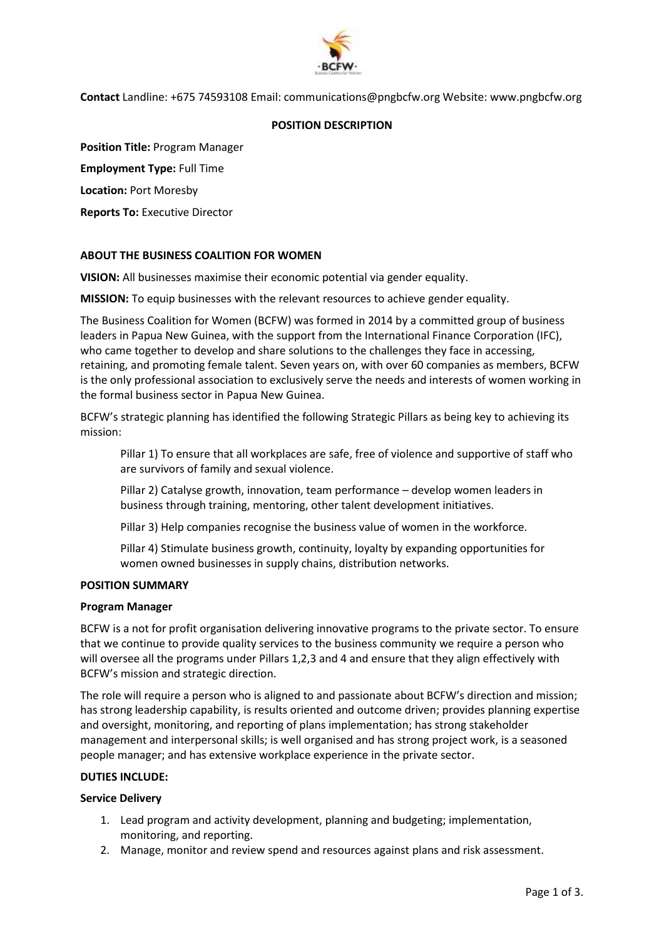

**Contact** Landline: +675 74593108 Email: communications@pngbcfw.org Website: www.pngbcfw.org

## **POSITION DESCRIPTION**

**Position Title:** Program Manager

**Employment Type:** Full Time

**Location:** Port Moresby

**Reports To:** Executive Director

# **ABOUT THE BUSINESS COALITION FOR WOMEN**

**VISION:** All businesses maximise their economic potential via gender equality.

**MISSION:** To equip businesses with the relevant resources to achieve gender equality.

The Business Coalition for Women (BCFW) was formed in 2014 by a committed group of business leaders in Papua New Guinea, with the support from the International Finance Corporation (IFC), who came together to develop and share solutions to the challenges they face in accessing, retaining, and promoting female talent. Seven years on, with over 60 companies as members, BCFW is the only professional association to exclusively serve the needs and interests of women working in the formal business sector in Papua New Guinea.

BCFW's strategic planning has identified the following Strategic Pillars as being key to achieving its mission:

Pillar 1) To ensure that all workplaces are safe, free of violence and supportive of staff who are survivors of family and sexual violence.

Pillar 2) Catalyse growth, innovation, team performance – develop women leaders in business through training, mentoring, other talent development initiatives.

Pillar 3) Help companies recognise the business value of women in the workforce.

Pillar 4) Stimulate business growth, continuity, loyalty by expanding opportunities for women owned businesses in supply chains, distribution networks.

## **POSITION SUMMARY**

## **Program Manager**

BCFW is a not for profit organisation delivering innovative programs to the private sector. To ensure that we continue to provide quality services to the business community we require a person who will oversee all the programs under Pillars 1,2,3 and 4 and ensure that they align effectively with BCFW's mission and strategic direction.

The role will require a person who is aligned to and passionate about BCFW's direction and mission; has strong leadership capability, is results oriented and outcome driven; provides planning expertise and oversight, monitoring, and reporting of plans implementation; has strong stakeholder management and interpersonal skills; is well organised and has strong project work, is a seasoned people manager; and has extensive workplace experience in the private sector.

## **DUTIES INCLUDE:**

## **Service Delivery**

- 1. Lead program and activity development, planning and budgeting; implementation, monitoring, and reporting.
- 2. Manage, monitor and review spend and resources against plans and risk assessment.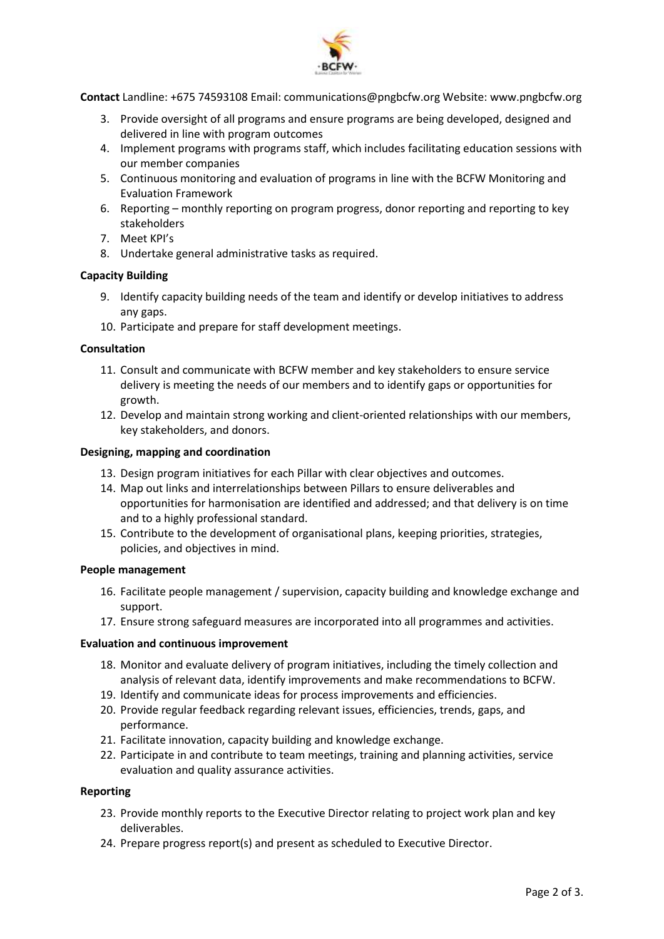

**Contact** Landline: +675 74593108 Email: communications@pngbcfw.org Website: www.pngbcfw.org

- 3. Provide oversight of all programs and ensure programs are being developed, designed and delivered in line with program outcomes
- 4. Implement programs with programs staff, which includes facilitating education sessions with our member companies
- 5. Continuous monitoring and evaluation of programs in line with the BCFW Monitoring and Evaluation Framework
- 6. Reporting monthly reporting on program progress, donor reporting and reporting to key stakeholders
- 7. Meet KPI's
- 8. Undertake general administrative tasks as required.

## **Capacity Building**

- 9. Identify capacity building needs of the team and identify or develop initiatives to address any gaps.
- 10. Participate and prepare for staff development meetings.

### **Consultation**

- 11. Consult and communicate with BCFW member and key stakeholders to ensure service delivery is meeting the needs of our members and to identify gaps or opportunities for growth.
- 12. Develop and maintain strong working and client-oriented relationships with our members, key stakeholders, and donors.

### **Designing, mapping and coordination**

- 13. Design program initiatives for each Pillar with clear objectives and outcomes.
- 14. Map out links and interrelationships between Pillars to ensure deliverables and opportunities for harmonisation are identified and addressed; and that delivery is on time and to a highly professional standard.
- 15. Contribute to the development of organisational plans, keeping priorities, strategies, policies, and objectives in mind.

#### **People management**

- 16. Facilitate people management / supervision, capacity building and knowledge exchange and support.
- 17. Ensure strong safeguard measures are incorporated into all programmes and activities.

#### **Evaluation and continuous improvement**

- 18. Monitor and evaluate delivery of program initiatives, including the timely collection and analysis of relevant data, identify improvements and make recommendations to BCFW.
- 19. Identify and communicate ideas for process improvements and efficiencies.
- 20. Provide regular feedback regarding relevant issues, efficiencies, trends, gaps, and performance.
- 21. Facilitate innovation, capacity building and knowledge exchange.
- 22. Participate in and contribute to team meetings, training and planning activities, service evaluation and quality assurance activities.

#### **Reporting**

- 23. Provide monthly reports to the Executive Director relating to project work plan and key deliverables.
- 24. Prepare progress report(s) and present as scheduled to Executive Director.